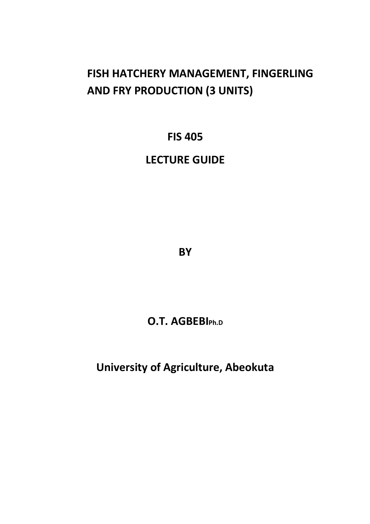# **FISH HATCHERY MANAGEMENT, FINGERLING AND FRY PRODUCTION (3 UNITS)**

**FIS 405** 

## **LECTURE GUIDE**

**BY** 

**O.T. AGBEBIPh.D**

**University of Agriculture, Abeokuta**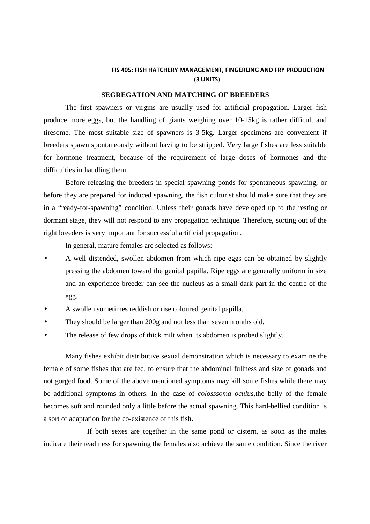#### **FIS 405: FISH HATCHERY MANAGEMENT, FINGERLING AND FRY PRODUCTION (3 UNITS)**

#### **SEGREGATION AND MATCHING OF BREEDERS**

 The first spawners or virgins are usually used for artificial propagation. Larger fish produce more eggs, but the handling of giants weighing over 10-15kg is rather difficult and tiresome. The most suitable size of spawners is 3-5kg. Larger specimens are convenient if breeders spawn spontaneously without having to be stripped. Very large fishes are less suitable for hormone treatment, because of the requirement of large doses of hormones and the difficulties in handling them.

 Before releasing the breeders in special spawning ponds for spontaneous spawning, or before they are prepared for induced spawning, the fish culturist should make sure that they are in a "ready-for-spawning" condition. Unless their gonads have developed up to the resting or dormant stage, they will not respond to any propagation technique. Therefore, sorting out of the right breeders is very important for successful artificial propagation.

In general, mature females are selected as follows:

- A well distended, swollen abdomen from which ripe eggs can be obtained by slightly pressing the abdomen toward the genital papilla. Ripe eggs are generally uniform in size and an experience breeder can see the nucleus as a small dark part in the centre of the egg.
- A swollen sometimes reddish or rise coloured genital papilla.
- They should be larger than 200g and not less than seven months old.
- The release of few drops of thick milt when its abdomen is probed slightly.

Many fishes exhibit distributive sexual demonstration which is necessary to examine the female of some fishes that are fed, to ensure that the abdominal fullness and size of gonads and not gorged food. Some of the above mentioned symptoms may kill some fishes while there may be additional symptoms in others. In the case of *colosssoma oculus,*the belly of the female becomes soft and rounded only a little before the actual spawning. This hard-bellied condition is a sort of adaptation for the co-existence of this fish.

 If both sexes are together in the same pond or cistern, as soon as the males indicate their readiness for spawning the females also achieve the same condition. Since the river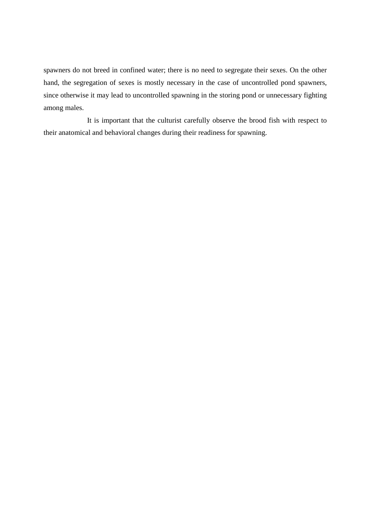spawners do not breed in confined water; there is no need to segregate their sexes. On the other hand, the segregation of sexes is mostly necessary in the case of uncontrolled pond spawners, since otherwise it may lead to uncontrolled spawning in the storing pond or unnecessary fighting among males.

 It is important that the culturist carefully observe the brood fish with respect to their anatomical and behavioral changes during their readiness for spawning.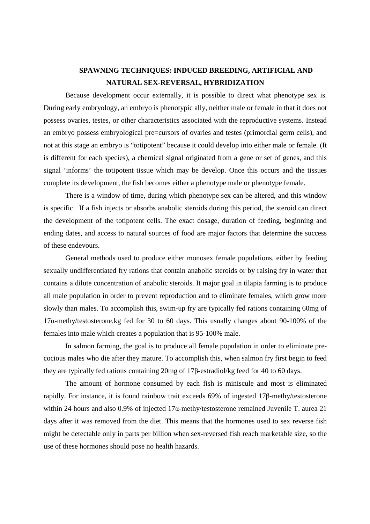### **SPAWNING TECHNIQUES: INDUCED BREEDING, ARTIFICIAL AND NATURAL SEX-REVERSAL, HYBRIDIZATION**

 Because development occur externally, it is possible to direct what phenotype sex is. During early embryology, an embryo is phenotypic ally, neither male or female in that it does not possess ovaries, testes, or other characteristics associated with the reproductive systems. Instead an embryo possess embryological pre=cursors of ovaries and testes (primordial germ cells), and not at this stage an embryo is "totipotent" because it could develop into either male or female. (It is different for each species), a chemical signal originated from a gene or set of genes, and this signal 'informs' the totipotent tissue which may be develop. Once this occurs and the tissues complete its development, the fish becomes either a phenotype male or phenotype female.

 There is a window of time, during which phenotype sex can be altered, and this window is specific. If a fish injects or absorbs anabolic steroids during this period, the steroid can direct the development of the totipotent cells. The exact dosage, duration of feeding, beginning and ending dates, and access to natural sources of food are major factors that determine the success of these endevours.

General methods used to produce either monosex female populations, either by feeding sexually undifferentiated fry rations that contain anabolic steroids or by raising fry in water that contains a dilute concentration of anabolic steroids. It major goal in tilapia farming is to produce all male population in order to prevent reproduction and to eliminate females, which grow more slowly than males. To accomplish this, swim-up fry are typically fed rations containing 60mg of 17α-methy/testosterone.kg fed for 30 to 60 days. This usually changes about 90-100% of the females into male which creates a population that is 95-100% male.

In salmon farming, the goal is to produce all female population in order to eliminate precocious males who die after they mature. To accomplish this, when salmon fry first begin to feed they are typically fed rations containing 20mg of 17β-estradiol/kg feed for 40 to 60 days.

The amount of hormone consumed by each fish is miniscule and most is eliminated rapidly. For instance, it is found rainbow trait exceeds 69% of ingested 17β-methy/testosterone within 24 hours and also 0.9% of injected 17α-methy/testosterone remained Juvenile T. aurea 21 days after it was removed from the diet. This means that the hormones used to sex reverse fish might be detectable only in parts per billion when sex-reversed fish reach marketable size, so the use of these hormones should pose no health hazards.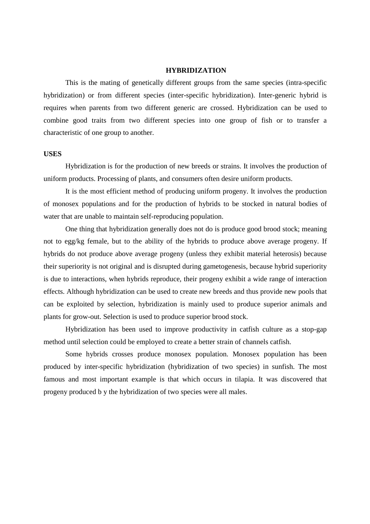#### **HYBRIDIZATION**

 This is the mating of genetically different groups from the same species (intra-specific hybridization) or from different species (inter-specific hybridization). Inter-generic hybrid is requires when parents from two different generic are crossed. Hybridization can be used to combine good traits from two different species into one group of fish or to transfer a characteristic of one group to another.

#### **USES**

Hybridization is for the production of new breeds or strains. It involves the production of uniform products. Processing of plants, and consumers often desire uniform products.

 It is the most efficient method of producing uniform progeny. It involves the production of monosex populations and for the production of hybrids to be stocked in natural bodies of water that are unable to maintain self-reproducing population.

 One thing that hybridization generally does not do is produce good brood stock; meaning not to egg/kg female, but to the ability of the hybrids to produce above average progeny. If hybrids do not produce above average progeny (unless they exhibit material heterosis) because their superiority is not original and is disrupted during gametogenesis, because hybrid superiority is due to interactions, when hybrids reproduce, their progeny exhibit a wide range of interaction effects. Although hybridization can be used to create new breeds and thus provide new pools that can be exploited by selection, hybridization is mainly used to produce superior animals and plants for grow-out. Selection is used to produce superior brood stock.

 Hybridization has been used to improve productivity in catfish culture as a stop-gap method until selection could be employed to create a better strain of channels catfish.

 Some hybrids crosses produce monosex population. Monosex population has been produced by inter-specific hybridization (hybridization of two species) in sunfish. The most famous and most important example is that which occurs in tilapia. It was discovered that progeny produced b y the hybridization of two species were all males.